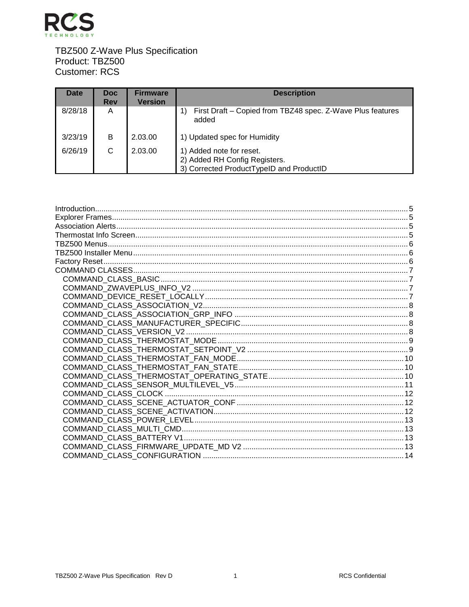

# TBZ500 Z-Wave Plus Specification<br>Product: TBZ500 **Customer: RCS**

| <b>Date</b> | Doc<br><b>Rev</b> | <b>Firmware</b><br><b>Version</b> | <b>Description</b>                                                                                    |
|-------------|-------------------|-----------------------------------|-------------------------------------------------------------------------------------------------------|
| 8/28/18     | A                 |                                   | First Draft – Copied from TBZ48 spec. Z-Wave Plus features<br>added                                   |
| 3/23/19     | B                 | 2.03.00                           | 1) Updated spec for Humidity                                                                          |
| 6/26/19     | C                 | 2.03.00                           | 1) Added note for reset.<br>2) Added RH Config Registers.<br>3) Corrected ProductTypeID and ProductID |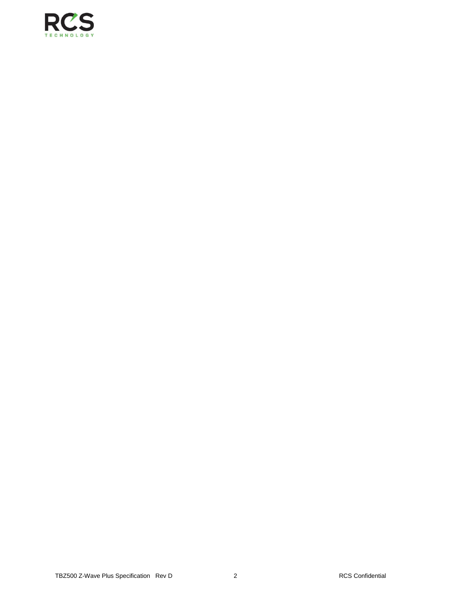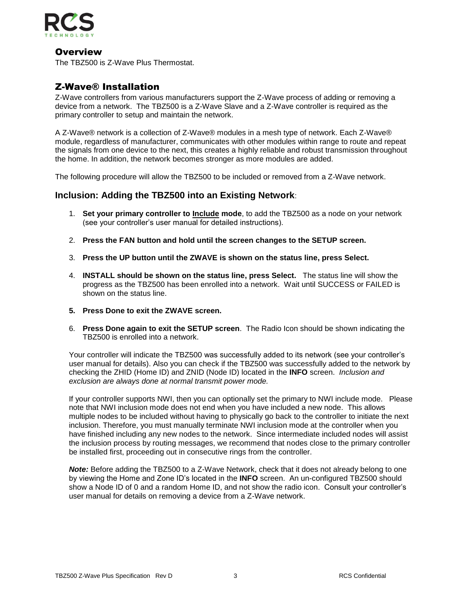

### **Overview**

The TBZ500 is Z-Wave Plus Thermostat.

### Z-Wave® Installation

Z-Wave controllers from various manufacturers support the Z-Wave process of adding or removing a device from a network. The TBZ500 is a Z-Wave Slave and a Z-Wave controller is required as the primary controller to setup and maintain the network.

A Z-Wave® network is a collection of Z-Wave® modules in a mesh type of network. Each Z-Wave® module, regardless of manufacturer, communicates with other modules within range to route and repeat the signals from one device to the next, this creates a highly reliable and robust transmission throughout the home. In addition, the network becomes stronger as more modules are added.

The following procedure will allow the TBZ500 to be included or removed from a Z-Wave network.

#### **Inclusion: Adding the TBZ500 into an Existing Network**:

- 1. **Set your primary controller to Include mode**, to add the TBZ500 as a node on your network (see your controller's user manual for detailed instructions).
- 2. **Press the FAN button and hold until the screen changes to the SETUP screen.**
- 3. **Press the UP button until the ZWAVE is shown on the status line, press Select.**
- 4. **INSTALL should be shown on the status line, press Select.** The status line will show the progress as the TBZ500 has been enrolled into a network. Wait until SUCCESS or FAILED is shown on the status line.
- **5. Press Done to exit the ZWAVE screen.**
- 6. **Press Done again to exit the SETUP screen**. The Radio Icon should be shown indicating the TBZ500 is enrolled into a network.

Your controller will indicate the TBZ500 was successfully added to its network (see your controller's user manual for details). Also you can check if the TBZ500 was successfully added to the network by checking the ZHID (Home ID) and ZNID (Node ID) located in the **INFO** screen. *Inclusion and exclusion are always done at normal transmit power mode.*

If your controller supports NWI, then you can optionally set the primary to NWI include mode. Please note that NWI inclusion mode does not end when you have included a new node. This allows multiple nodes to be included without having to physically go back to the controller to initiate the next inclusion. Therefore, you must manually terminate NWI inclusion mode at the controller when you have finished including any new nodes to the network. Since intermediate included nodes will assist the inclusion process by routing messages, we recommend that nodes close to the primary controller be installed first, proceeding out in consecutive rings from the controller.

*Note:* Before adding the TBZ500 to a Z-Wave Network, check that it does not already belong to one by viewing the Home and Zone ID's located in the **INFO** screen. An un-configured TBZ500 should show a Node ID of 0 and a random Home ID, and not show the radio icon. Consult your controller's user manual for details on removing a device from a Z-Wave network.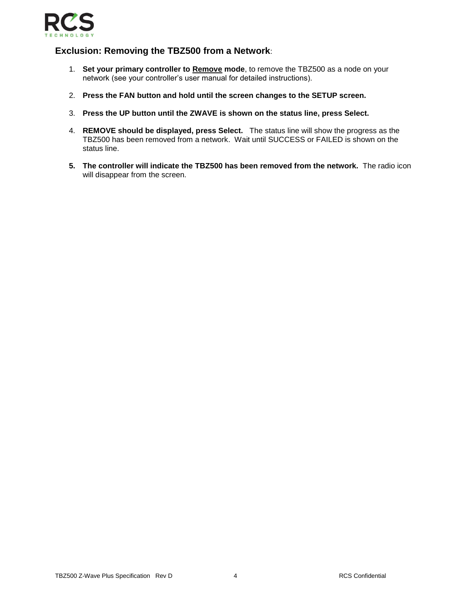

#### **Exclusion: Removing the TBZ500 from a Network**:

- 1. **Set your primary controller to Remove mode**, to remove the TBZ500 as a node on your network (see your controller's user manual for detailed instructions).
- 2. **Press the FAN button and hold until the screen changes to the SETUP screen.**
- 3. **Press the UP button until the ZWAVE is shown on the status line, press Select.**
- 4. **REMOVE should be displayed, press Select.** The status line will show the progress as the TBZ500 has been removed from a network. Wait until SUCCESS or FAILED is shown on the status line.
- **5. The controller will indicate the TBZ500 has been removed from the network.** The radio icon will disappear from the screen.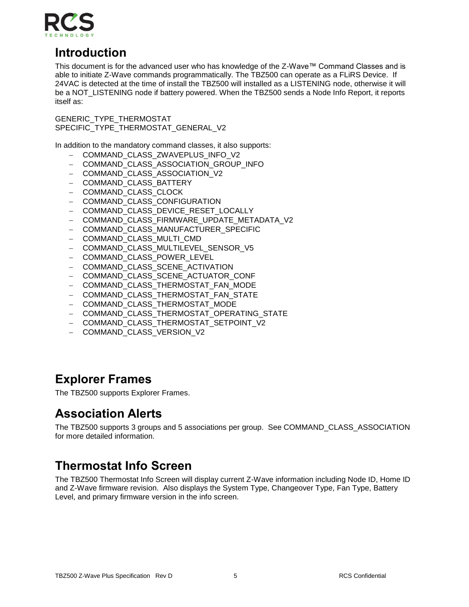

## <span id="page-4-0"></span>**Introduction**

This document is for the advanced user who has knowledge of the Z-Wave™ Command Classes and is able to initiate Z-Wave commands programmatically. The TBZ500 can operate as a FLiRS Device. If 24VAC is detected at the time of install the TBZ500 will installed as a LISTENING node, otherwise it will be a NOT\_LISTENING node if battery powered. When the TBZ500 sends a Node Info Report, it reports itself as:

GENERIC\_TYPE\_THERMOSTAT SPECIFIC TYPE THERMOSTAT GENERAL V2

In addition to the mandatory command classes, it also supports:

- − COMMAND\_CLASS\_ZWAVEPLUS\_INFO\_V2
- − COMMAND\_CLASS\_ASSOCIATION\_GROUP\_INFO
- − COMMAND\_CLASS\_ASSOCIATION\_V2
- − COMMAND\_CLASS\_BATTERY
- − COMMAND\_CLASS\_CLOCK
- − COMMAND\_CLASS\_CONFIGURATION
- − COMMAND\_CLASS\_DEVICE\_RESET\_LOCALLY
- − COMMAND\_CLASS\_FIRMWARE\_UPDATE\_METADATA\_V2
- − COMMAND\_CLASS\_MANUFACTURER\_SPECIFIC
- − COMMAND\_CLASS\_MULTI\_CMD
- − COMMAND\_CLASS\_MULTILEVEL\_SENSOR\_V5
- − COMMAND\_CLASS\_POWER\_LEVEL
- − COMMAND\_CLASS\_SCENE\_ACTIVATION
- − COMMAND\_CLASS\_SCENE\_ACTUATOR\_CONF
- − COMMAND\_CLASS\_THERMOSTAT\_FAN\_MODE
- − COMMAND\_CLASS\_THERMOSTAT\_FAN\_STATE
- − COMMAND\_CLASS\_THERMOSTAT\_MODE
- − COMMAND\_CLASS\_THERMOSTAT\_OPERATING\_STATE
- − COMMAND\_CLASS\_THERMOSTAT\_SETPOINT\_V2
- − COMMAND\_CLASS\_VERSION\_V2

# <span id="page-4-1"></span>**Explorer Frames**

<span id="page-4-2"></span>The TBZ500 supports Explorer Frames.

## **Association Alerts**

The TBZ500 supports 3 groups and 5 associations per group. See COMMAND\_CLASS\_ASSOCIATION for more detailed information.

# <span id="page-4-3"></span>**Thermostat Info Screen**

The TBZ500 Thermostat Info Screen will display current Z-Wave information including Node ID, Home ID and Z-Wave firmware revision. Also displays the System Type, Changeover Type, Fan Type, Battery Level, and primary firmware version in the info screen.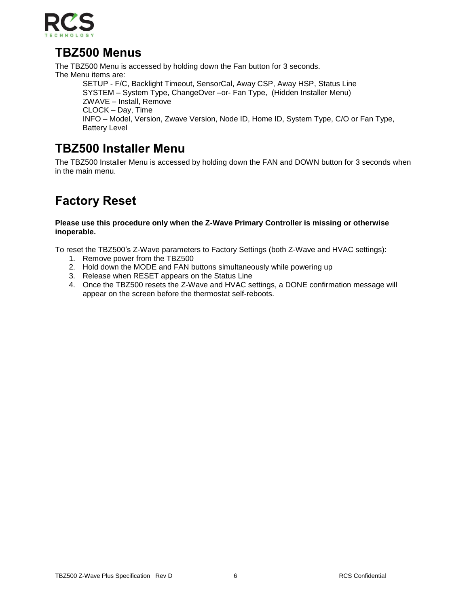

# <span id="page-5-0"></span>**TBZ500 Menus**

The TBZ500 Menu is accessed by holding down the Fan button for 3 seconds. The Menu items are:

> SETUP - F/C, Backlight Timeout, SensorCal, Away CSP, Away HSP, Status Line SYSTEM – System Type, ChangeOver –or- Fan Type, (Hidden Installer Menu) ZWAVE – Install, Remove CLOCK – Day, Time INFO – Model, Version, Zwave Version, Node ID, Home ID, System Type, C/O or Fan Type, Battery Level

# <span id="page-5-1"></span>**TBZ500 Installer Menu**

The TBZ500 Installer Menu is accessed by holding down the FAN and DOWN button for 3 seconds when in the main menu.

# <span id="page-5-2"></span>**Factory Reset**

#### **Please use this procedure only when the Z-Wave Primary Controller is missing or otherwise inoperable.**

To reset the TBZ500's Z-Wave parameters to Factory Settings (both Z-Wave and HVAC settings):

- 1. Remove power from the TBZ500
- 2. Hold down the MODE and FAN buttons simultaneously while powering up
- 3. Release when RESET appears on the Status Line
- 4. Once the TBZ500 resets the Z-Wave and HVAC settings, a DONE confirmation message will appear on the screen before the thermostat self-reboots.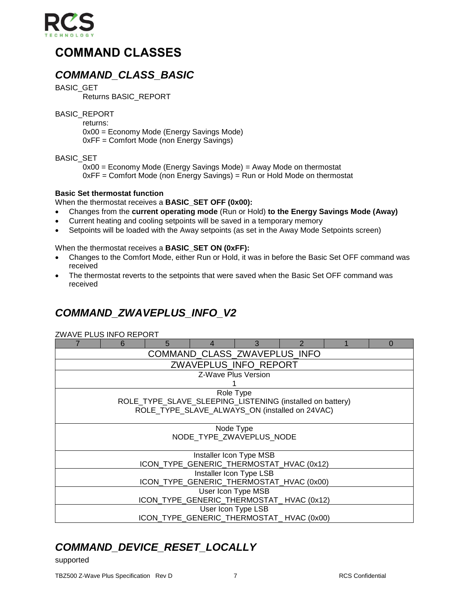

# <span id="page-6-0"></span>**COMMAND CLASSES**

### <span id="page-6-1"></span>*COMMAND\_CLASS\_BASIC*

BASIC\_GET

Returns BASIC\_REPORT

BASIC\_REPORT

- returns:
- 0x00 = Economy Mode (Energy Savings Mode)
- 0xFF = Comfort Mode (non Energy Savings)

#### BASIC\_SET

0x00 = Economy Mode (Energy Savings Mode) = Away Mode on thermostat 0xFF = Comfort Mode (non Energy Savings) = Run or Hold Mode on thermostat

#### **Basic Set thermostat function**

When the thermostat receives a **BASIC\_SET OFF (0x00):**

- Changes from the **current operating mode** (Run or Hold) **to the Energy Savings Mode (Away)**
- Current heating and cooling setpoints will be saved in a temporary memory
- Setpoints will be loaded with the Away setpoints (as set in the Away Mode Setpoints screen)

When the thermostat receives a **BASIC\_SET ON (0xFF):**

- Changes to the Comfort Mode, either Run or Hold, it was in before the Basic Set OFF command was received
- The thermostat reverts to the setpoints that were saved when the Basic Set OFF command was received

## <span id="page-6-2"></span>*COMMAND\_ZWAVEPLUS\_INFO\_V2*

**ZWAVE PLUS INFO REPORT** 

|                              | 6                                        | 5                                                         |  |                          |  |  | O |  |  |  |  |
|------------------------------|------------------------------------------|-----------------------------------------------------------|--|--------------------------|--|--|---|--|--|--|--|
| COMMAND_CLASS_ZWAVEPLUS_INFO |                                          |                                                           |  |                          |  |  |   |  |  |  |  |
|                              | ZWAVEPLUS_INFO_REPORT                    |                                                           |  |                          |  |  |   |  |  |  |  |
|                              |                                          |                                                           |  | Z-Wave Plus Version      |  |  |   |  |  |  |  |
|                              |                                          |                                                           |  |                          |  |  |   |  |  |  |  |
|                              |                                          |                                                           |  | Role Type                |  |  |   |  |  |  |  |
|                              |                                          | ROLE_TYPE_SLAVE_SLEEPING_LISTENING (installed on battery) |  |                          |  |  |   |  |  |  |  |
|                              |                                          | ROLE_TYPE_SLAVE_ALWAYS_ON (installed on 24VAC)            |  |                          |  |  |   |  |  |  |  |
|                              |                                          |                                                           |  |                          |  |  |   |  |  |  |  |
|                              |                                          |                                                           |  | Node Type                |  |  |   |  |  |  |  |
|                              |                                          |                                                           |  | NODE TYPE ZWAVEPLUS NODE |  |  |   |  |  |  |  |
|                              |                                          |                                                           |  |                          |  |  |   |  |  |  |  |
|                              |                                          | ICON_TYPE_GENERIC_THERMOSTAT_HVAC (0x12)                  |  | Installer Icon Type MSB  |  |  |   |  |  |  |  |
|                              |                                          |                                                           |  | Installer Icon Type LSB  |  |  |   |  |  |  |  |
|                              |                                          | ICON_TYPE_GENERIC_THERMOSTAT_HVAC (0x00)                  |  |                          |  |  |   |  |  |  |  |
|                              |                                          |                                                           |  | User Icon Type MSB       |  |  |   |  |  |  |  |
|                              | ICON_TYPE_GENERIC_THERMOSTAT_HVAC (0x12) |                                                           |  |                          |  |  |   |  |  |  |  |
|                              |                                          |                                                           |  | User Icon Type LSB       |  |  |   |  |  |  |  |
|                              |                                          | ICON TYPE GENERIC THERMOSTAT HVAC (0x00)                  |  |                          |  |  |   |  |  |  |  |
|                              |                                          |                                                           |  |                          |  |  |   |  |  |  |  |

# <span id="page-6-3"></span>*COMMAND\_DEVICE\_RESET\_LOCALLY*

#### supported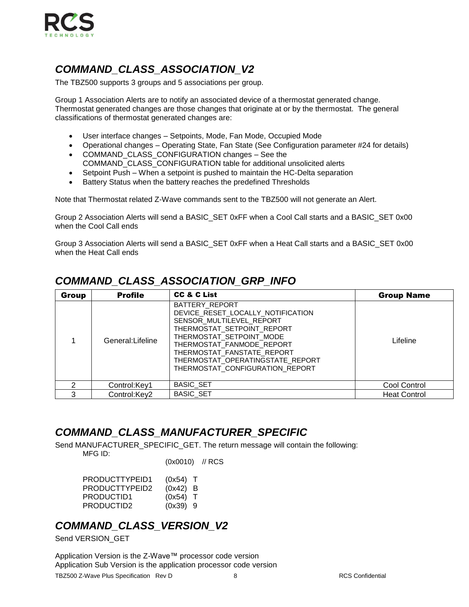

## <span id="page-7-0"></span>*COMMAND\_CLASS\_ASSOCIATION\_V2*

The TBZ500 supports 3 groups and 5 associations per group.

Group 1 Association Alerts are to notify an associated device of a thermostat generated change. Thermostat generated changes are those changes that originate at or by the thermostat. The general classifications of thermostat generated changes are:

- User interface changes Setpoints, Mode, Fan Mode, Occupied Mode
- Operational changes Operating State, Fan State (See Configuration parameter #24 for details)
- COMMAND CLASS CONFIGURATION changes See the COMMAND\_CLASS\_CONFIGURATION table for additional unsolicited alerts
- Setpoint Push When a setpoint is pushed to maintain the HC-Delta separation
- Battery Status when the battery reaches the predefined Thresholds

Note that Thermostat related Z-Wave commands sent to the TBZ500 will not generate an Alert.

Group 2 Association Alerts will send a BASIC\_SET 0xFF when a Cool Call starts and a BASIC\_SET 0x00 when the Cool Call ends

Group 3 Association Alerts will send a BASIC\_SET 0xFF when a Heat Call starts and a BASIC\_SET 0x00 when the Heat Call ends

| <b>Group</b> | <b>Profile</b>   | <b>CC &amp; C List</b>                                                                                                                                                                                                                                                      | <b>Group Name</b>   |
|--------------|------------------|-----------------------------------------------------------------------------------------------------------------------------------------------------------------------------------------------------------------------------------------------------------------------------|---------------------|
|              | General:Lifeline | BATTERY_REPORT<br>DEVICE_RESET_LOCALLY_NOTIFICATION<br>SENSOR_MULTILEVEL_REPORT<br>THERMOSTAT_SETPOINT_REPORT<br>THERMOSTAT SETPOINT MODE<br>THERMOSTAT FANMODE REPORT<br>THERMOSTAT FANSTATE REPORT<br>THERMOSTAT OPERATINGSTATE REPORT<br>THERMOSTAT CONFIGURATION REPORT | Lifeline            |
| າ            | Control:Key1     | <b>BASIC SET</b>                                                                                                                                                                                                                                                            | Cool Control        |
| 3            | Control:Kev2     | <b>BASIC SET</b>                                                                                                                                                                                                                                                            | <b>Heat Control</b> |

### <span id="page-7-1"></span>*COMMAND\_CLASS\_ASSOCIATION\_GRP\_INFO*

### <span id="page-7-2"></span>*COMMAND\_CLASS\_MANUFACTURER\_SPECIFIC*

Send MANUFACTURER\_SPECIFIC\_GET. The return message will contain the following: MFG ID:

(0x0010) // RCS

| PRODUCTTYPEID1 | $(0x54)$ T |
|----------------|------------|
| PRODUCTTYPEID2 | $(0x42)$ B |
| PRODUCTID1     | $(0x54)$ T |
| PRODUCTID2     | $(0x39)$ 9 |

### <span id="page-7-3"></span>*COMMAND\_CLASS\_VERSION\_V2*

Send VERSION GET

Application Version is the Z-Wave™ processor code version Application Sub Version is the application processor code version

TBZ500 Z-Wave Plus Specification Rev D 8 8 8 8 8 8 RCS Confidential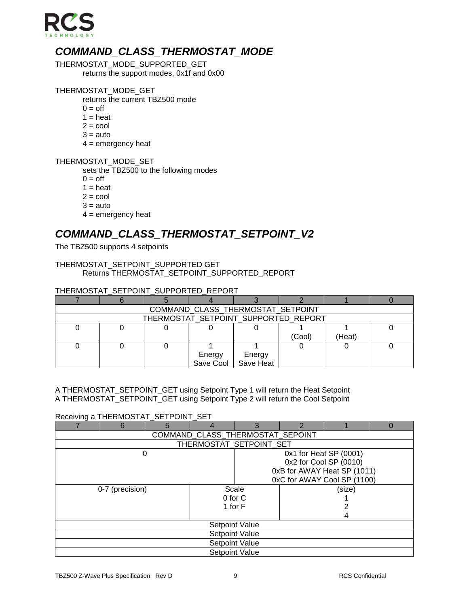

### <span id="page-8-0"></span>*COMMAND\_CLASS\_THERMOSTAT\_MODE*

THERMOSTAT\_MODE\_SUPPORTED\_GET returns the support modes, 0x1f and 0x00

#### THERMOSTAT\_MODE\_GET

returns the current TBZ500 mode

- $0 = \text{off}$
- $1 = heat$
- $2 = \text{cool}$
- $3 = auto$
- $4 =$  emergency heat

#### THERMOSTAT\_MODE\_SET

sets the TBZ500 to the following modes

- $0 = \text{off}$
- $1 = heat$
- $2 = \text{cool}$
- $3 = auto$
- $4 =$  emergency heat

## <span id="page-8-1"></span>*COMMAND\_CLASS\_THERMOSTAT\_SETPOINT\_V2*

The TBZ500 supports 4 setpoints

#### THERMOSTAT\_SETPOINT\_SUPPORTED GET Returns THERMOSTAT\_SETPOINT\_SUPPORTED\_REPORT

#### THERMOSTAT\_SETPOINT\_SUPPORTED\_REPORT

| COMMAND_CLASS_THERMOSTAT_SETPOINT    |  |  |           |           |        |        |  |  |  |
|--------------------------------------|--|--|-----------|-----------|--------|--------|--|--|--|
| THERMOSTAT SETPOINT SUPPORTED REPORT |  |  |           |           |        |        |  |  |  |
|                                      |  |  |           |           |        |        |  |  |  |
|                                      |  |  |           |           | (Cool) | (Heat) |  |  |  |
|                                      |  |  |           |           |        |        |  |  |  |
|                                      |  |  | Energy    | Energy    |        |        |  |  |  |
|                                      |  |  | Save Cool | Save Heat |        |        |  |  |  |

#### A THERMOSTAT\_SETPOINT\_GET using Setpoint Type 1 will return the Heat Setpoint A THERMOSTAT\_SETPOINT\_GET using Setpoint Type 2 will return the Cool Setpoint

#### Receiving a THERMOSTAT\_SETPOINT\_SET

|                         | 6                                | 5 |  | 3                           | 2                           |                        |  |  |  |  |  |
|-------------------------|----------------------------------|---|--|-----------------------------|-----------------------------|------------------------|--|--|--|--|--|
|                         | COMMAND_CLASS_THERMOSTAT_SEPOINT |   |  |                             |                             |                        |  |  |  |  |  |
| THERMOSTAT_SETPOINT SET |                                  |   |  |                             |                             |                        |  |  |  |  |  |
|                         |                                  |   |  |                             | 0x1 for Heat SP (0001)      |                        |  |  |  |  |  |
|                         |                                  |   |  |                             |                             | 0x2 for Cool SP (0010) |  |  |  |  |  |
|                         |                                  |   |  |                             | 0xB for AWAY Heat SP (1011) |                        |  |  |  |  |  |
|                         |                                  |   |  | 0xC for AWAY Cool SP (1100) |                             |                        |  |  |  |  |  |
|                         | 0-7 (precision)                  |   |  | Scale<br>(size)             |                             |                        |  |  |  |  |  |
|                         |                                  |   |  | 0 for C                     |                             |                        |  |  |  |  |  |
|                         |                                  |   |  | 1 for F                     |                             |                        |  |  |  |  |  |
|                         |                                  |   |  |                             |                             |                        |  |  |  |  |  |
|                         |                                  |   |  | Setpoint Value              |                             |                        |  |  |  |  |  |
|                         | Setpoint Value                   |   |  |                             |                             |                        |  |  |  |  |  |
|                         |                                  |   |  | Setpoint Value              |                             |                        |  |  |  |  |  |
|                         |                                  |   |  | <b>Setpoint Value</b>       |                             |                        |  |  |  |  |  |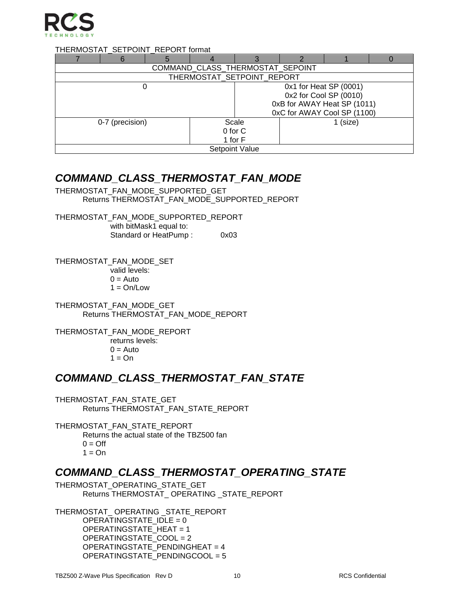

#### THERMOSTAT\_SETPOINT\_REPORT format

|                            | COMMAND_CLASS_THERMOSTAT_SEPOINT |  |         |                             |                        |  |  |  |  |  |  |
|----------------------------|----------------------------------|--|---------|-----------------------------|------------------------|--|--|--|--|--|--|
| THERMOSTAT SETPOINT REPORT |                                  |  |         |                             |                        |  |  |  |  |  |  |
|                            |                                  |  |         |                             | 0x1 for Heat SP (0001) |  |  |  |  |  |  |
|                            |                                  |  |         | 0x2 for Cool SP (0010)      |                        |  |  |  |  |  |  |
|                            |                                  |  |         | 0xB for AWAY Heat SP (1011) |                        |  |  |  |  |  |  |
|                            |                                  |  |         | 0xC for AWAY Cool SP (1100) |                        |  |  |  |  |  |  |
|                            | 0-7 (precision)                  |  |         | Scale<br>$1$ (size)         |                        |  |  |  |  |  |  |
|                            |                                  |  | 0 for C |                             |                        |  |  |  |  |  |  |
| 1 for F                    |                                  |  |         |                             |                        |  |  |  |  |  |  |
|                            |                                  |  |         | Setpoint Value              |                        |  |  |  |  |  |  |

### <span id="page-9-0"></span>*COMMAND\_CLASS\_THERMOSTAT\_FAN\_MODE*

THERMOSTAT\_FAN\_MODE\_SUPPORTED\_GET Returns THERMOSTAT\_FAN\_MODE\_SUPPORTED\_REPORT

THERMOSTAT\_FAN\_MODE\_SUPPORTED\_REPORT with bitMask1 equal to: Standard or HeatPump : 0x03

THERMOSTAT\_FAN\_MODE\_SET valid levels:  $0 =$  Auto  $1 = On/Low$ 

THERMOSTAT\_FAN\_MODE\_GET Returns THERMOSTAT\_FAN\_MODE\_REPORT

THERMOSTAT\_FAN\_MODE\_REPORT returns levels:  $0 =$  Auto  $1 = On$ 

### <span id="page-9-1"></span>*COMMAND\_CLASS\_THERMOSTAT\_FAN\_STATE*

THERMOSTAT\_FAN\_STATE\_GET Returns THERMOSTAT\_FAN\_STATE\_REPORT

THERMOSTAT\_FAN\_STATE\_REPORT Returns the actual state of the TBZ500 fan

 $0 = \text{Off}$ 

 $1 = On$ 

### <span id="page-9-2"></span>*COMMAND\_CLASS\_THERMOSTAT\_OPERATING\_STATE*

THERMOSTAT\_OPERATING\_STATE\_GET Returns THERMOSTAT\_ OPERATING \_STATE\_REPORT

THERMOSTAT\_ OPERATING \_STATE\_REPORT OPERATINGSTATE  $IDLE = 0$ OPERATINGSTATE\_HEAT = 1 OPERATINGSTATE\_COOL = 2 OPERATINGSTATE\_PENDINGHEAT = 4 OPERATINGSTATE\_PENDINGCOOL = 5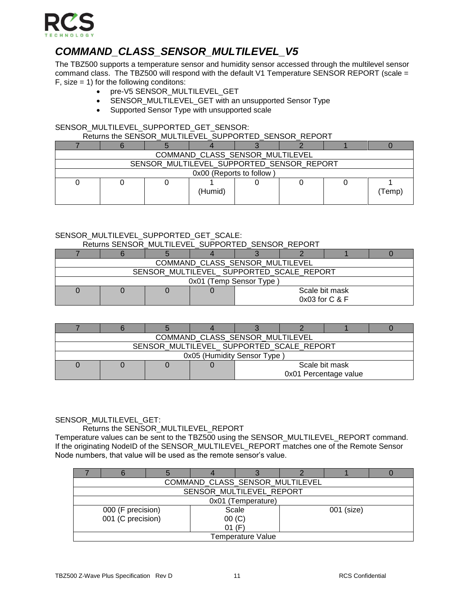

## <span id="page-10-0"></span>*COMMAND\_CLASS\_SENSOR\_MULTILEVEL\_V5*

The TBZ500 supports a temperature sensor and humidity sensor accessed through the multilevel sensor command class. The TBZ500 will respond with the default V1 Temperature SENSOR REPORT (scale =  $F$ , size = 1) for the following conditions:

- pre-V5 SENSOR\_MULTILEVEL\_GET
- SENSOR\_MULTILEVEL\_GET with an unsupported Sensor Type
- Supported Sensor Type with unsupported scale

#### SENSOR\_MULTILEVEL\_SUPPORTED\_GET\_SENSOR:

Returns the SENSOR\_MULTILEVEL\_SUPPORTED\_SENSOR\_REPORT

| COMMAND CLASS SENSOR MULTILEVEL           |  |  |  |  |  |  |  |  |  |
|-------------------------------------------|--|--|--|--|--|--|--|--|--|
| SENSOR MULTILEVEL SUPPORTED SENSOR REPORT |  |  |  |  |  |  |  |  |  |
| 0x00 (Reports to follow                   |  |  |  |  |  |  |  |  |  |
|                                           |  |  |  |  |  |  |  |  |  |
| (Humid)<br>Temp)                          |  |  |  |  |  |  |  |  |  |
|                                           |  |  |  |  |  |  |  |  |  |

### SENSOR\_MULTILEVEL\_SUPPORTED\_GET\_SCALE:

|  | Returns SENSOR MULTILEVEL SUPPORTED SENSOR REPORT |
|--|---------------------------------------------------|
|--|---------------------------------------------------|

| COMMAND CLASS SENSOR MULTILEVEL |                                          |                |  |  |                  |  |  |  |  |
|---------------------------------|------------------------------------------|----------------|--|--|------------------|--|--|--|--|
|                                 | SENSOR MULTILEVEL SUPPORTED SCALE REPORT |                |  |  |                  |  |  |  |  |
| 0x01 (Temp Sensor Type          |                                          |                |  |  |                  |  |  |  |  |
|                                 |                                          | Scale bit mask |  |  |                  |  |  |  |  |
|                                 |                                          |                |  |  | $0x03$ for C & F |  |  |  |  |

| COMMAND CLASS SENSOR MULTILEVEL |                                          |  |  |  |                       |  |  |  |  |  |
|---------------------------------|------------------------------------------|--|--|--|-----------------------|--|--|--|--|--|
|                                 | SENSOR MULTILEVEL SUPPORTED SCALE REPORT |  |  |  |                       |  |  |  |  |  |
|                                 | 0x05 (Humidity Sensor Type               |  |  |  |                       |  |  |  |  |  |
|                                 | Scale bit mask                           |  |  |  |                       |  |  |  |  |  |
|                                 |                                          |  |  |  | 0x01 Percentage value |  |  |  |  |  |

#### SENSOR\_MULTILEVEL\_GET:

Returns the SENSOR\_MULTILEVEL\_REPORT

Temperature values can be sent to the TBZ500 using the SENSOR\_MULTILEVEL\_REPORT command. If the originating NodeID of the SENSOR\_MULTILEVEL\_REPORT matches one of the Remote Sensor Node numbers, that value will be used as the remote sensor's value.

| COMMAND_CLASS_SENSOR_MULTILEVEL          |  |  |  |  |  |  |  |  |  |  |
|------------------------------------------|--|--|--|--|--|--|--|--|--|--|
| SENSOR MULTILEVEL REPORT                 |  |  |  |  |  |  |  |  |  |  |
| 0x01 (Temperature)                       |  |  |  |  |  |  |  |  |  |  |
| 000 (F precision)<br>Scale<br>001 (size) |  |  |  |  |  |  |  |  |  |  |
| 001 (C precision)<br>00(C)               |  |  |  |  |  |  |  |  |  |  |
| 01 $(F)$                                 |  |  |  |  |  |  |  |  |  |  |
| Temperature Value                        |  |  |  |  |  |  |  |  |  |  |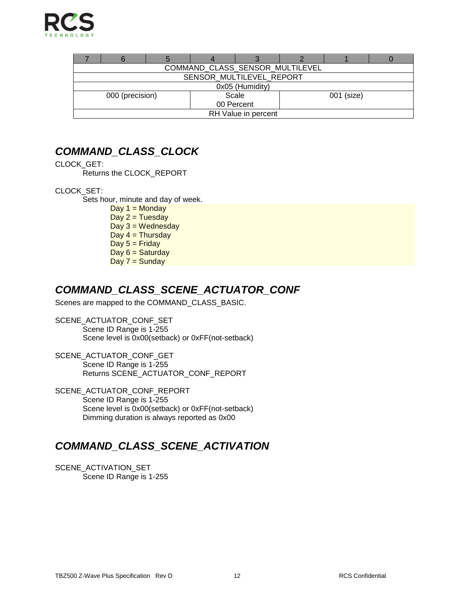

|                     | COMMAND_CLASS_SENSOR_MULTILEVEL        |  |  |  |  |  |  |  |  |  |  |
|---------------------|----------------------------------------|--|--|--|--|--|--|--|--|--|--|
|                     | SENSOR MULTILEVEL REPORT               |  |  |  |  |  |  |  |  |  |  |
|                     | 0x05 (Humidity)                        |  |  |  |  |  |  |  |  |  |  |
|                     | 000 (precision)<br>001 (size)<br>Scale |  |  |  |  |  |  |  |  |  |  |
|                     | 00 Percent                             |  |  |  |  |  |  |  |  |  |  |
| RH Value in percent |                                        |  |  |  |  |  |  |  |  |  |  |

### <span id="page-11-0"></span>*COMMAND\_CLASS\_CLOCK*

CLOCK\_GET:

Returns the CLOCK\_REPORT

CLOCK\_SET:

Sets hour, minute and day of week.

Day  $1 =$  Monday

Day  $2 =$  Tuesday

Day  $3 =$  Wednesday

Day  $4 =$  Thursday

Day  $5 =$  Friday

Day  $6 =$  Saturday

Day  $7 =$  Sunday

## <span id="page-11-1"></span>*COMMAND\_CLASS\_SCENE\_ACTUATOR\_CONF*

Scenes are mapped to the COMMAND\_CLASS\_BASIC.

- SCENE\_ACTUATOR\_CONF\_SET Scene ID Range is 1-255 Scene level is 0x00(setback) or 0xFF(not-setback)
- SCENE\_ACTUATOR\_CONF\_GET Scene ID Range is 1-255 Returns SCENE\_ACTUATOR\_CONF\_REPORT
- SCENE\_ACTUATOR\_CONF\_REPORT Scene ID Range is 1-255 Scene level is 0x00(setback) or 0xFF(not-setback) Dimming duration is always reported as 0x00

## <span id="page-11-2"></span>*COMMAND\_CLASS\_SCENE\_ACTIVATION*

SCENE\_ACTIVATION\_SET Scene ID Range is 1-255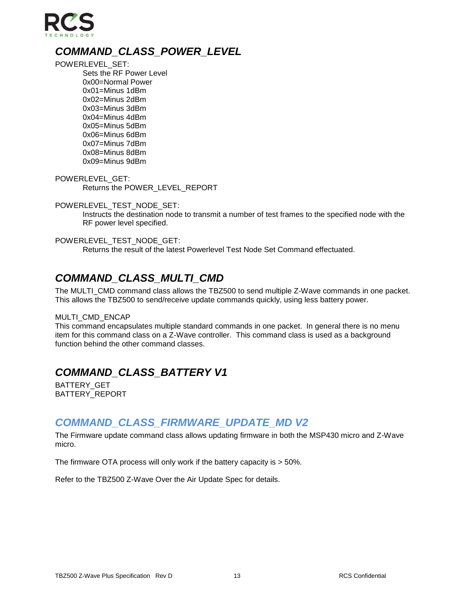

## <span id="page-12-0"></span>*COMMAND\_CLASS\_POWER\_LEVEL*

POWERLEVEL\_SET: Sets the RF Power Level 0x00=Normal Power 0x01=Minus 1dBm 0x02=Minus 2dBm 0x03=Minus 3dBm 0x04=Minus 4dBm 0x05=Minus 5dBm 0x06=Minus 6dBm 0x07=Minus 7dBm 0x08=Minus 8dBm 0x09=Minus 9dBm

POWERLEVEL\_GET: Returns the POWER\_LEVEL\_REPORT

POWERLEVEL\_TEST\_NODE\_SET:

Instructs the destination node to transmit a number of test frames to the specified node with the RF power level specified.

POWERLEVEL\_TEST\_NODE\_GET:

Returns the result of the latest Powerlevel Test Node Set Command effectuated.

### <span id="page-12-1"></span>*COMMAND\_CLASS\_MULTI\_CMD*

The MULTI\_CMD command class allows the TBZ500 to send multiple Z-Wave commands in one packet. This allows the TBZ500 to send/receive update commands quickly, using less battery power.

#### MULTI CMD ENCAP

This command encapsulates multiple standard commands in one packet. In general there is no menu item for this command class on a Z-Wave controller. This command class is used as a background function behind the other command classes.

### <span id="page-12-2"></span>*COMMAND\_CLASS\_BATTERY V1*

BATTERY\_GET BATTERY\_REPORT

### <span id="page-12-3"></span>*COMMAND\_CLASS\_FIRMWARE\_UPDATE\_MD V2*

The Firmware update command class allows updating firmware in both the MSP430 micro and Z-Wave micro.

The firmware OTA process will only work if the battery capacity is > 50%.

Refer to the TBZ500 Z-Wave Over the Air Update Spec for details.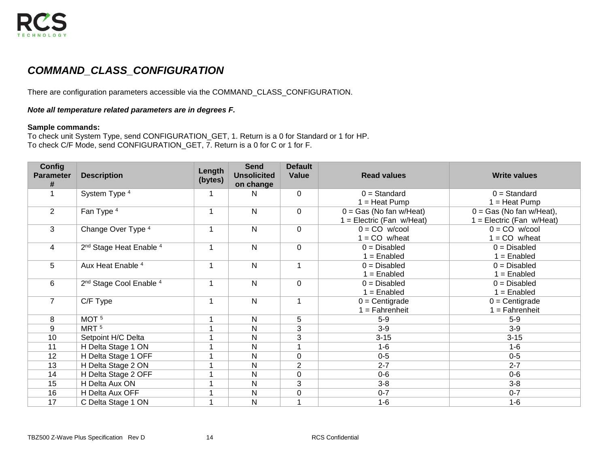## *COMMAND\_CLASS\_CONFIGURATION*

There are configuration parameters accessible via the COMMAND\_CLASS\_CONFIGURATION.

#### *Note all temperature related parameters are in degrees F.*

#### **Sample commands:**

To check unit System Type, send CONFIGURATION\_GET, 1. Return is a 0 for Standard or 1 for HP. To check C/F Mode, send CONFIGURATION\_GET, 7. Return is a 0 for C or 1 for F.

<span id="page-13-0"></span>

| Config<br><b>Parameter</b><br># | <b>Description</b>                             | Length<br>(bytes) | <b>Send</b><br><b>Unsolicited</b><br>on change | <b>Default</b><br><b>Value</b> | <b>Read values</b>          | <b>Write values</b>        |
|---------------------------------|------------------------------------------------|-------------------|------------------------------------------------|--------------------------------|-----------------------------|----------------------------|
| 1                               | System Type 4                                  | 1                 | N                                              | $\Omega$                       | $0 = Standard$              | $0 = Standard$             |
|                                 |                                                | 1                 |                                                |                                | $1 =$ Heat Pump             | $1 =$ Heat Pump            |
| $\overline{2}$                  | Fan Type 4                                     |                   | N                                              | $\overline{0}$                 | $0 = Gas (No fan w/Heat)$   | $0 = Gas$ (No fan w/Heat), |
|                                 |                                                |                   |                                                |                                | $1 =$ Electric (Fan w/Heat) | $=$ Electric (Fan w/Heat)  |
| 3                               | Change Over Type 4                             | 1                 | $\mathsf{N}$                                   | $\Omega$                       | $0 = CO$ w/cool             | $0 = CO$ w/cool            |
|                                 |                                                |                   |                                                |                                | $1 = CO$ w/heat             | $1 = CO$ w/heat            |
| 4                               | 2 <sup>nd</sup> Stage Heat Enable <sup>4</sup> | 1                 | $\mathsf{N}$                                   | $\overline{0}$                 | $0 = Disabled$              | $0 = Disabled$             |
|                                 |                                                |                   |                                                |                                | $1 =$ Enabled               | $1 =$ Enabled              |
| 5                               | Aux Heat Enable <sup>4</sup>                   | 1                 | $\mathsf{N}$                                   | $\mathbf 1$                    | $0 = Disabled$              | $0 = Disabled$             |
|                                 |                                                |                   |                                                |                                | $1 =$ Enabled               | $1 =$ Enabled              |
| 6                               | 2 <sup>nd</sup> Stage Cool Enable <sup>4</sup> | 1                 | $\mathsf{N}$                                   | $\overline{0}$                 | $0 = Disabled$              | $0 = Disabled$             |
|                                 |                                                |                   |                                                |                                | $1 =$ Enabled               | $1 =$ Enabled              |
| $\overline{7}$                  | C/F Type                                       | 1                 | N                                              | $\mathbf{1}$                   | $0 =$ Centigrade            | $0 = Centigrade$           |
|                                 |                                                |                   |                                                |                                | $1 = Fahrenheit$            | $=$ Fahrenheit             |
| 8                               | MOT <sub>5</sub>                               | 1                 | N                                              | 5                              | $5-9$                       | $5-9$                      |
| 9                               | MRT <sup>5</sup>                               | 4                 | N                                              | 3                              | $3-9$                       | $3-9$                      |
| 10                              | Setpoint H/C Delta                             | 1                 | N                                              | 3                              | $3 - 15$                    | $3 - 15$                   |
| 11                              | H Delta Stage 1 ON                             | 4                 | $\mathsf{N}$                                   | 1                              | $1 - 6$                     | $1 - 6$                    |
| 12                              | H Delta Stage 1 OFF                            | 4                 | $\mathsf{N}$                                   | $\mathbf 0$                    | $0 - 5$                     | $0-5$                      |
| 13                              | H Delta Stage 2 ON                             | $\overline{ }$    | $\mathsf{N}$                                   | $\overline{2}$                 | $2 - 7$                     | $2 - 7$                    |
| 14                              | H Delta Stage 2 OFF                            | 1                 | N                                              | 0                              | $0-6$                       | $0-6$                      |
| 15                              | H Delta Aux ON                                 | 4                 | $\mathsf{N}$                                   | 3                              | $3 - 8$                     | $3-8$                      |
| 16                              | H Delta Aux OFF                                | 4                 | $\mathsf{N}$                                   | 0                              | $0 - 7$                     | $0 - 7$                    |
| 17                              | C Delta Stage 1 ON                             |                   | $\mathsf{N}$                                   |                                | $1 - 6$                     | $1 - 6$                    |

TBZ500 Z-Wave Plus Specification Rev D 14 14 RCS Confidential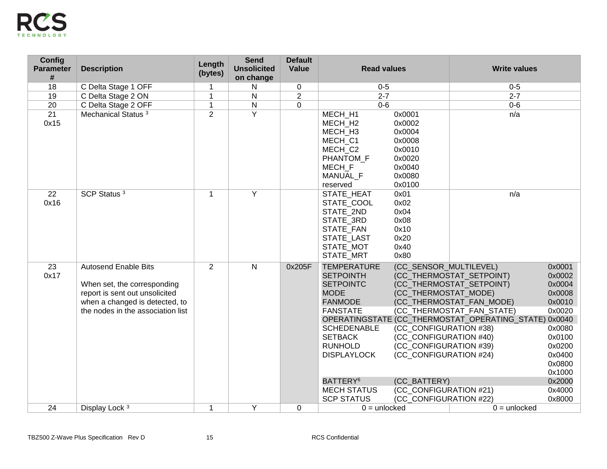| <b>Config</b><br><b>Parameter</b><br># | <b>Description</b>                                                                                                                                                  | Length<br>(bytes) | <b>Send</b><br><b>Unsolicited</b><br>on change | <b>Default</b><br>Value | <b>Read values</b>                                                                                                                                                                                                                           |                                                                                                                                                                                                  | <b>Write values</b>                                                                                                                                                    |                                                                                                                                          |
|----------------------------------------|---------------------------------------------------------------------------------------------------------------------------------------------------------------------|-------------------|------------------------------------------------|-------------------------|----------------------------------------------------------------------------------------------------------------------------------------------------------------------------------------------------------------------------------------------|--------------------------------------------------------------------------------------------------------------------------------------------------------------------------------------------------|------------------------------------------------------------------------------------------------------------------------------------------------------------------------|------------------------------------------------------------------------------------------------------------------------------------------|
| 18                                     | C Delta Stage 1 OFF                                                                                                                                                 | 1                 | N                                              | $\mathbf 0$             | $0-5$                                                                                                                                                                                                                                        |                                                                                                                                                                                                  | $0-5$                                                                                                                                                                  |                                                                                                                                          |
| 19                                     | C Delta Stage 2 ON                                                                                                                                                  | $\mathbf{1}$      | $\overline{\mathsf{N}}$                        | $\overline{2}$          | $2 - 7$                                                                                                                                                                                                                                      |                                                                                                                                                                                                  | $2 - 7$                                                                                                                                                                |                                                                                                                                          |
| 20                                     | C Delta Stage 2 OFF                                                                                                                                                 | 1                 | ${\sf N}$                                      | $\overline{0}$          | $0 - 6$                                                                                                                                                                                                                                      |                                                                                                                                                                                                  | $0-6$                                                                                                                                                                  |                                                                                                                                          |
| $\overline{21}$<br>0x15                | Mechanical Status <sup>3</sup>                                                                                                                                      | $\overline{2}$    | $\overline{Y}$                                 |                         | MECH H1<br>MECH H <sub>2</sub><br>MECH H3<br>MECH C1<br>MECH C2<br>PHANTOM F<br>MECH F<br>MANUAL F<br>reserved                                                                                                                               | 0x0001<br>0x0002<br>0x0004<br>0x0008<br>0x0010<br>0x0020<br>0x0040<br>0x0080<br>0x0100                                                                                                           | n/a                                                                                                                                                                    |                                                                                                                                          |
| 22<br>0x16                             | SCP Status <sup>3</sup>                                                                                                                                             | $\mathbf{1}$      | Y                                              |                         | STATE HEAT<br>STATE COOL<br>STATE_2ND<br>STATE 3RD<br>STATE FAN<br><b>STATE LAST</b><br>STATE MOT<br>STATE MRT                                                                                                                               | 0x01<br>0x02<br>0x04<br>0x08<br>0x10<br>0x20<br>0x40<br>0x80                                                                                                                                     | n/a                                                                                                                                                                    |                                                                                                                                          |
| $\overline{23}$<br>0x17                | <b>Autosend Enable Bits</b><br>When set, the corresponding<br>report is sent out unsolicited<br>when a changed is detected, to<br>the nodes in the association list | 2                 | $\mathsf{N}$                                   | 0x205F                  | <b>TEMPERATURE</b><br><b>SETPOINTH</b><br><b>SETPOINTC</b><br><b>MODE</b><br><b>FANMODE</b><br><b>FANSTATE</b><br><b>SCHEDENABLE</b><br><b>SETBACK</b><br><b>RUNHOLD</b><br><b>DISPLAYLOCK</b><br>BATTERY <sup>6</sup><br><b>MECH STATUS</b> | (CC_SENSOR_MULTILEVEL)<br>(CC_THERMOSTAT_MODE)<br>(CC CONFIGURATION #38)<br>(CC_CONFIGURATION #40)<br>(CC_CONFIGURATION #39)<br>(CC_CONFIGURATION #24)<br>(CC BATTERY)<br>(CC_CONFIGURATION #21) | (CC THERMOSTAT SETPOINT)<br>(CC_THERMOSTAT_SETPOINT)<br>(CC THERMOSTAT FAN MODE)<br>(CC THERMOSTAT FAN STATE)<br>OPERATINGSTATE (CC_THERMOSTAT_OPERATING_STATE) 0x0040 | 0x0001<br>0x0002<br>0x0004<br>0x0008<br>0x0010<br>0x0020<br>0x0080<br>0x0100<br>0x0200<br>0x0400<br>0x0800<br>0x1000<br>0x2000<br>0x4000 |
| 24                                     | Display Lock <sup>3</sup>                                                                                                                                           | $\mathbf{1}$      | Y                                              | $\Omega$                | <b>SCP STATUS</b><br>$0 =$ unlocked                                                                                                                                                                                                          | (CC_CONFIGURATION #22)                                                                                                                                                                           | $0 =$ unlocked                                                                                                                                                         | 0x8000                                                                                                                                   |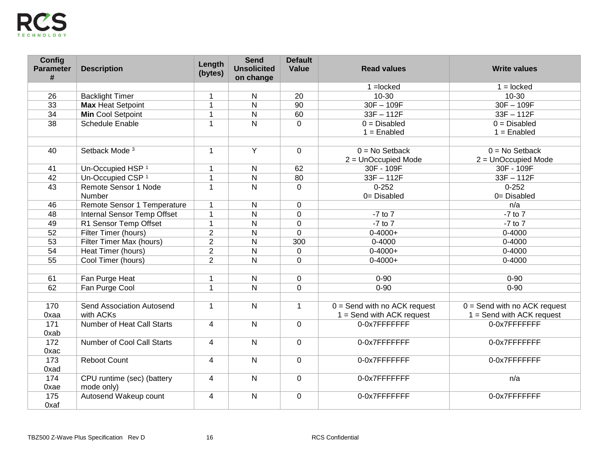| Config<br><b>Parameter</b><br># | <b>Description</b>                | Length<br>(bytes) | <b>Send</b><br><b>Unsolicited</b><br>on change | <b>Default</b><br>Value | <b>Read values</b>             | <b>Write values</b>            |
|---------------------------------|-----------------------------------|-------------------|------------------------------------------------|-------------------------|--------------------------------|--------------------------------|
|                                 |                                   |                   |                                                |                         | $1 =$ locked                   | $1 =$ locked                   |
| 26                              | <b>Backlight Timer</b>            | $\overline{1}$    | N                                              | 20                      | $10 - 30$                      | $10 - 30$                      |
| 33                              | <b>Max Heat Setpoint</b>          | $\mathbf{1}$      | N                                              | 90                      | $30F - 109F$                   | $30F - 109F$                   |
| 34                              | <b>Min Cool Setpoint</b>          | $\mathbf{1}$      | N                                              | 60                      | $33F - 112F$                   | $33F - 112F$                   |
| 38                              | <b>Schedule Enable</b>            | $\mathbf{1}$      | N                                              | $\mathbf 0$             | $0 = Disabled$                 | $0 = Disabled$                 |
|                                 |                                   |                   |                                                |                         | $1 =$ Enabled                  | $1 =$ Enabled                  |
|                                 |                                   |                   |                                                |                         |                                |                                |
| 40                              | Setback Mode <sup>3</sup>         | $\mathbf{1}$      | $\overline{Y}$                                 | $\Omega$                | $0 = No$ Setback               | $0 = No$ Setback               |
|                                 |                                   |                   |                                                |                         | 2 = UnOccupied Mode            | 2 = UnOccupied Mode            |
| 41                              | Un-Occupied HSP <sup>1</sup>      | $\mathbf 1$       | N                                              | 62                      | 30F - 109F                     | 30F - 109F                     |
| 42                              | Un-Occupied CSP <sup>1</sup>      | $\mathbf{1}$      | $\mathsf{N}$                                   | 80                      | $33F - 112F$                   | $33F - 112F$                   |
| 43                              | Remote Sensor 1 Node              | $\mathbf{1}$      | N                                              | $\mathbf 0$             | $0 - 252$                      | $0 - 252$                      |
|                                 | Number                            |                   |                                                |                         | $0 = Disabled$                 | $0 = Disabled$                 |
| 46                              | Remote Sensor 1 Temperature       | $\mathbf{1}$      | N                                              | $\mathbf 0$             |                                | n/a                            |
| 48                              | Internal Sensor Temp Offset       | $\mathbf{1}$      | N                                              | $\mathbf 0$             | $-7$ to $7$                    | $-7$ to $7$                    |
| 49                              | R1 Sensor Temp Offset             | $\mathbf{1}$      | N                                              | $\mathbf 0$             | $-7$ to $7$                    | $-7$ to $7$                    |
| 52                              | Filter Timer (hours)              | $\overline{2}$    | N                                              | $\mathbf 0$             | $0 - 4000 +$                   | $0 - 4000$                     |
| 53                              | Filter Timer Max (hours)          | $\overline{2}$    | N                                              | 300                     | $0 - 4000$                     | $0 - 4000$                     |
| 54                              | Heat Timer (hours)                | $\overline{2}$    | N                                              | $\mathbf 0$             | $0 - 4000 +$                   | $0 - 4000$                     |
| 55                              | Cool Timer (hours)                | $\overline{2}$    | N                                              | $\mathbf 0$             | $0 - 4000 +$                   | $0 - 4000$                     |
|                                 |                                   |                   |                                                |                         |                                |                                |
| 61                              | Fan Purge Heat                    | 1                 | N                                              | $\mathbf 0$             | $0 - 90$                       | $0 - 90$                       |
| 62                              | Fan Purge Cool                    | $\mathbf{1}$      | N                                              | $\Omega$                | $0 - 90$                       | $0 - 90$                       |
|                                 |                                   |                   |                                                |                         |                                |                                |
| 170                             | Send Association Autosend         | 1                 | N                                              | $\overline{1}$          | $0 =$ Send with no ACK request | $0 =$ Send with no ACK request |
| 0xaa                            | with ACKs                         |                   |                                                |                         | $1 =$ Send with ACK request    | $1 =$ Send with ACK request    |
| 171                             | <b>Number of Heat Call Starts</b> | $\overline{4}$    | N                                              | $\mathbf 0$             | 0-0x7FFFFFFF                   | 0-0x7FFFFFFF                   |
| 0xab                            |                                   |                   |                                                |                         |                                |                                |
| 172                             | <b>Number of Cool Call Starts</b> | $\overline{4}$    | N                                              | $\mathbf 0$             | 0-0x7FFFFFFFF                  | 0-0x7FFFFFFF                   |
| 0xac                            |                                   |                   |                                                |                         |                                |                                |
| 173                             | <b>Reboot Count</b>               | $\overline{4}$    | N                                              | $\mathbf 0$             | 0-0x7FFFFFFF                   | 0-0x7FFFFFFF                   |
| 0xad                            |                                   |                   |                                                |                         |                                |                                |
| 174                             | CPU runtime (sec) (battery        | $\overline{4}$    | N                                              | $\mathbf 0$             | 0-0x7FFFFFFF                   | n/a                            |
| 0xae                            | mode only)                        |                   |                                                |                         |                                |                                |
| 175                             | Autosend Wakeup count             | $\overline{4}$    | N                                              | $\mathbf 0$             | 0-0x7FFFFFFF                   | 0-0x7FFFFFFFF                  |
| 0xaf                            |                                   |                   |                                                |                         |                                |                                |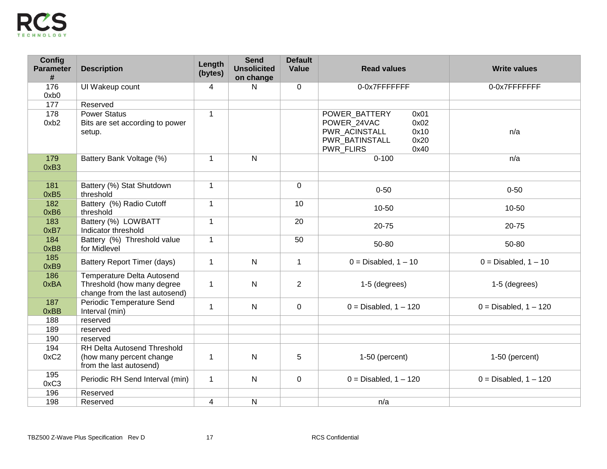| Config<br><b>Parameter</b><br># | <b>Description</b>                                                                         | Length<br>(bytes) | <b>Send</b><br><b>Unsolicited</b><br>on change | <b>Default</b><br>Value | <b>Read values</b>                                                                                                          | <b>Write values</b>      |
|---------------------------------|--------------------------------------------------------------------------------------------|-------------------|------------------------------------------------|-------------------------|-----------------------------------------------------------------------------------------------------------------------------|--------------------------|
| 176<br>0xb0                     | UI Wakeup count                                                                            | 4                 | N                                              | $\mathbf 0$             | 0-0x7FFFFFFF                                                                                                                | 0-0x7FFFFFFF             |
| 177                             | Reserved                                                                                   |                   |                                                |                         |                                                                                                                             |                          |
| 178<br>0xb2                     | <b>Power Status</b><br>Bits are set according to power<br>setup.                           | $\mathbf{1}$      |                                                |                         | POWER_BATTERY<br>0x01<br>0x02<br>POWER_24VAC<br>PWR_ACINSTALL<br>0x10<br>0x20<br>PWR BATINSTALL<br><b>PWR FLIRS</b><br>0x40 | n/a                      |
| 179<br>0xB3                     | Battery Bank Voltage (%)                                                                   | 1                 | N                                              |                         | $0 - 100$                                                                                                                   | n/a                      |
| 181<br>0xB5                     | Battery (%) Stat Shutdown<br>threshold                                                     | $\mathbf{1}$      |                                                | $\mathbf 0$             | $0 - 50$                                                                                                                    | $0 - 50$                 |
| 182<br>0xB6                     | Battery (%) Radio Cutoff<br>threshold                                                      | $\mathbf{1}$      |                                                | 10                      | 10-50                                                                                                                       | 10-50                    |
| 183<br>0xB7                     | Battery (%) LOWBATT<br>Indicator threshold                                                 | $\mathbf{1}$      |                                                | 20                      | 20-75                                                                                                                       | 20-75                    |
| 184<br>0xB8                     | Battery (%) Threshold value<br>for Midlevel                                                | $\mathbf{1}$      |                                                | 50                      | 50-80                                                                                                                       | 50-80                    |
| 185<br>0xB9                     | Battery Report Timer (days)                                                                | $\mathbf{1}$      | N                                              | $\mathbf{1}$            | $0 = Disabeled$ , 1 - 10                                                                                                    | $0 = Disabeled$ , 1 - 10 |
| 186<br>0xBA                     | Temperature Delta Autosend<br>Threshold (how many degree<br>change from the last autosend) | $\mathbf{1}$      | N                                              | 2                       | 1-5 (degrees)                                                                                                               | 1-5 (degrees)            |
| 187<br>0xBB                     | <b>Periodic Temperature Send</b><br>Interval (min)                                         | $\mathbf{1}$      | N                                              | $\mathbf 0$             | $0 = Disabeled, 1 - 120$                                                                                                    | $0 = Disabeled, 1 - 120$ |
| 188                             | reserved                                                                                   |                   |                                                |                         |                                                                                                                             |                          |
| 189                             | reserved                                                                                   |                   |                                                |                         |                                                                                                                             |                          |
| 190                             | reserved                                                                                   |                   |                                                |                         |                                                                                                                             |                          |
| 194<br>0xC2                     | RH Delta Autosend Threshold<br>(how many percent change<br>from the last autosend)         | 1                 | N                                              | 5                       | 1-50 (percent)                                                                                                              | 1-50 (percent)           |
| 195<br>0xC3                     | Periodic RH Send Interval (min)                                                            | $\mathbf{1}$      | N                                              | $\mathbf 0$             | $0 = Disabeled, 1 - 120$                                                                                                    | $0 = Disabeled, 1 - 120$ |
| 196                             | Reserved                                                                                   |                   |                                                |                         |                                                                                                                             |                          |
| 198                             | Reserved                                                                                   | 4                 | N                                              |                         | n/a                                                                                                                         |                          |

TBZ500 Z-Wave Plus Specification Rev D 17 RCS Confidential